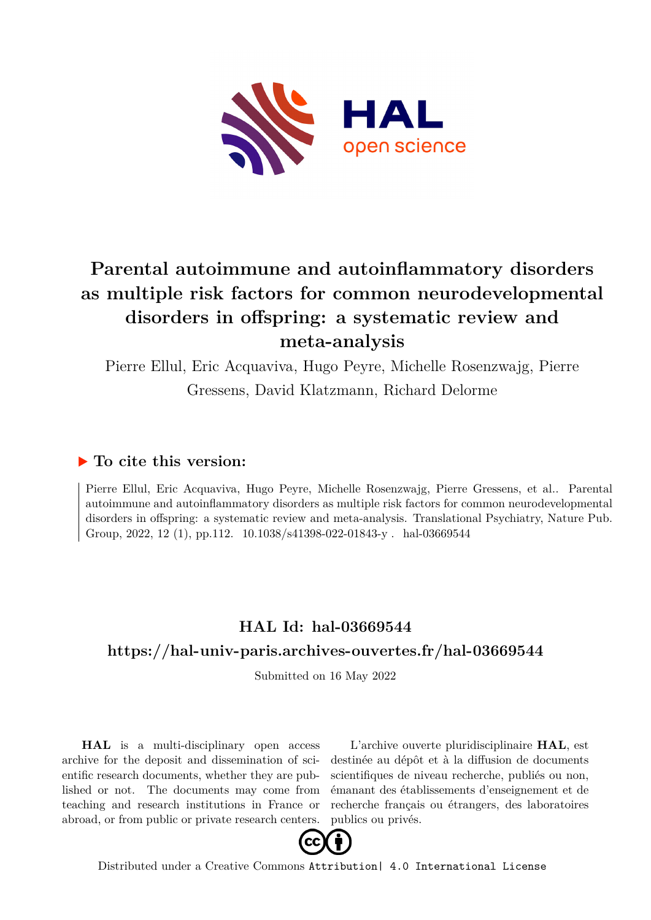

# **Parental autoimmune and autoinflammatory disorders as multiple risk factors for common neurodevelopmental disorders in offspring: a systematic review and meta-analysis**

Pierre Ellul, Eric Acquaviva, Hugo Peyre, Michelle Rosenzwajg, Pierre Gressens, David Klatzmann, Richard Delorme

### **To cite this version:**

Pierre Ellul, Eric Acquaviva, Hugo Peyre, Michelle Rosenzwajg, Pierre Gressens, et al.. Parental autoimmune and autoinflammatory disorders as multiple risk factors for common neurodevelopmental disorders in offspring: a systematic review and meta-analysis. Translational Psychiatry, Nature Pub. Group, 2022, 12 (1), pp.112. 10.1038/s41398-022-01843-y . hal-03669544

## **HAL Id: hal-03669544 <https://hal-univ-paris.archives-ouvertes.fr/hal-03669544>**

Submitted on 16 May 2022

**HAL** is a multi-disciplinary open access archive for the deposit and dissemination of scientific research documents, whether they are published or not. The documents may come from teaching and research institutions in France or abroad, or from public or private research centers.

L'archive ouverte pluridisciplinaire **HAL**, est destinée au dépôt et à la diffusion de documents scientifiques de niveau recherche, publiés ou non, émanant des établissements d'enseignement et de recherche français ou étrangers, des laboratoires publics ou privés.



Distributed under a Creative Commons [Attribution| 4.0 International License](http://creativecommons.org/licenses/by/4.0/)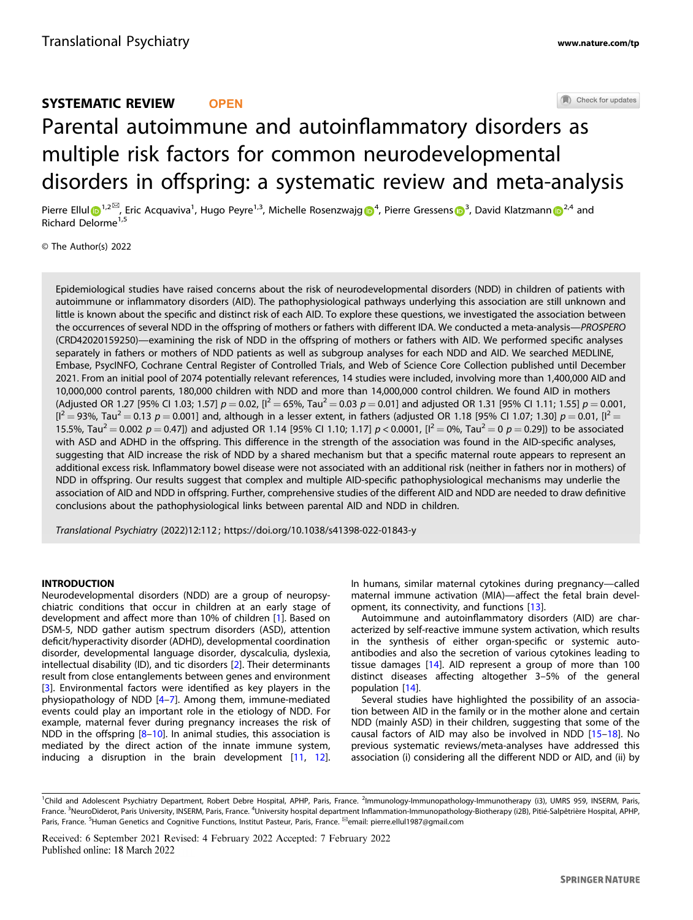### Check for updates SYSTEMATIC REVIEW **OPEN** Parental autoimmune and autoinflammatory disorder[s](http://crossmark.crossref.org/dialog/?doi=10.1038/s41398-022-01843-y&domain=pdf) as multiple risk factors for common neurodevelopmental disorders in offspring: a systematic review and meta-analysis

Pierre Ellul D<sup>[1](http://orcid.org/0000-0003-1862-6952),2⊠</sup>, Eric Acquaviva<sup>1</sup>, Hugo Peyre<sup>1,3</sup>, Michelle Rosenzwajg D<sup>[4](http://orcid.org/0000-0001-5312-6203)</sup>, Pierre Gressens D<sup>[3](http://orcid.org/0000-0002-0909-4221)</sup>, David Klatzma[n](http://orcid.org/0000-0002-0054-3422)n D<sup>[2](http://orcid.org/0000-0002-0054-3422),4</sup> and Richard Delorme<sup>1,5</sup>

© The Author(s) 2022

Epidemiological studies have raised concerns about the risk of neurodevelopmental disorders (NDD) in children of patients with autoimmune or inflammatory disorders (AID). The pathophysiological pathways underlying this association are still unknown and little is known about the specific and distinct risk of each AID. To explore these questions, we investigated the association between the occurrences of several NDD in the offspring of mothers or fathers with different IDA. We conducted a meta-analysis—PROSPERO (CRD42020159250)—examining the risk of NDD in the offspring of mothers or fathers with AID. We performed specific analyses separately in fathers or mothers of NDD patients as well as subgroup analyses for each NDD and AID. We searched MEDLINE, Embase, PsycINFO, Cochrane Central Register of Controlled Trials, and Web of Science Core Collection published until December 2021. From an initial pool of 2074 potentially relevant references, 14 studies were included, involving more than 1,400,000 AID and 10,000,000 control parents, 180,000 children with NDD and more than 14,000,000 control children. We found AID in mothers (Adjusted OR 1.27 [95% CI 1.03; 1.57]  $p = 0.02$ ,  $[1^2 = 65\%$ , Tau<sup>2</sup> = 0.03  $p = 0.01$ ] and adjusted OR 1.31 [95% CI 1.11; 1.55]  $p = 0.001$ ,  $[1^2 = 93\%$ , Tau $^2 = 0.13$  p = 0.001] and, although in a lesser extent, in fathers (adjusted OR 1.18 [95% CI 1.07; 1.30] p = 0.01, [1<sup>2</sup> = 15.5%, Tau<sup>2</sup> = 0.002 p = 0.47]) and adjusted OR 1.14 [95% CI 1.10; 1.17] p < 0.0001, [ $l^2$  = 0%, Tau<sup>2</sup> = 0 p = 0.29]) to be associated with ASD and ADHD in the offspring. This difference in the strength of the association was found in the AID-specific analyses, suggesting that AID increase the risk of NDD by a shared mechanism but that a specific maternal route appears to represent an additional excess risk. Inflammatory bowel disease were not associated with an additional risk (neither in fathers nor in mothers) of NDD in offspring. Our results suggest that complex and multiple AID-specific pathophysiological mechanisms may underlie the association of AID and NDD in offspring. Further, comprehensive studies of the different AID and NDD are needed to draw definitive conclusions about the pathophysiological links between parental AID and NDD in children.

Translational Psychiatry (2022) 12:112 ; https://doi.org[/10.1038/s41398-022-01843-y](https://doi.org/10.1038/s41398-022-01843-y)

#### **INTRODUCTION**

Neurodevelopmental disorders (NDD) are a group of neuropsychiatric conditions that occur in children at an early stage of development and affect more than 10% of children [1]. Based on DSM-5, NDD gather autism spectrum disorders (ASD), attention deficit/hyperactivity disorder (ADHD), developmental coordination disorder, developmental language disorder, dyscalculia, dyslexia, intellectual disability (ID), and tic disorders [2]. Their determinants result from close entanglements between genes and environment [3]. Environmental factors were identified as key players in the physiopathology of NDD [4–7]. Among them, immune-mediated events could play an important role in the etiology of NDD. For example, maternal fever during pregnancy increases the risk of NDD in the offspring [8-10]. In animal studies, this association is mediated by the direct action of the innate immune system, inducing a disruption in the brain development [11, 12].

In humans, similar maternal cytokines during pregnancy—called maternal immune activation (MIA)—affect the fetal brain development, its connectivity, and functions [13].

Autoimmune and autoinflammatory disorders (AID) are characterized by self-reactive immune system activation, which results in the synthesis of either organ-specific or systemic autoantibodies and also the secretion of various cytokines leading to tissue damages [14]. AID represent a group of more than 100 distinct diseases affecting altogether 3–5% of the general population [14].

Several studies have highlighted the possibility of an association between AID in the family or in the mother alone and certain NDD (mainly ASD) in their children, suggesting that some of the causal factors of AID may also be involved in NDD [15–18]. No previous systematic reviews/meta-analyses have addressed this association (i) considering all the different NDD or AID, and (ii) by

<sup>&</sup>lt;sup>1</sup>Child and Adolescent Psychiatry Department, Robert Debre Hospital, APHP, Paris, France. <sup>2</sup>Immunology-Immunopathology-Immunotherapy (i3), UMRS 959, INSERM, Paris, France. <sup>3</sup>NeuroDiderot, Paris University, INSERM, Paris, France. <sup>4</sup>University hospital department Inflammation-Immunopathology-Biotherapy (i2B), Pitié-Salpêtrière Hospital, APHP, Paris, France. <sup>5</sup>Human Genetics and Cognitive Functions, Institut Pasteur, Paris, France. <sup></sup>email: [pierre.ellul1987@gmail.com](mailto:pierre.ellul1987@gmail.com)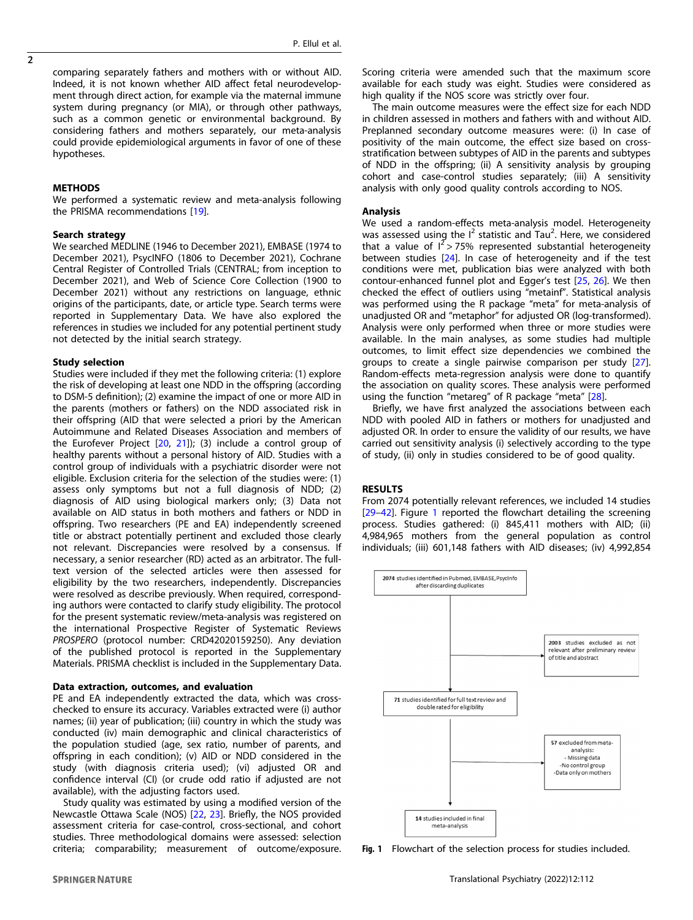comparing separately fathers and mothers with or without AID. Indeed, it is not known whether AID affect fetal neurodevelopment through direct action, for example via the maternal immune system during pregnancy (or MIA), or through other pathways, such as a common genetic or environmental background. By considering fathers and mothers separately, our meta-analysis could provide epidemiological arguments in favor of one of these hypotheses.

#### **METHODS**

We performed a systematic review and meta-analysis following the PRISMA recommendations [19].

#### Search strategy

We searched MEDLINE (1946 to December 2021), EMBASE (1974 to December 2021), PsycINFO (1806 to December 2021), Cochrane Central Register of Controlled Trials (CENTRAL; from inception to December 2021), and Web of Science Core Collection (1900 to December 2021) without any restrictions on language, ethnic origins of the participants, date, or article type. Search terms were reported in Supplementary Data. We have also explored the references in studies we included for any potential pertinent study not detected by the initial search strategy.

#### Study selection

Studies were included if they met the following criteria: (1) explore the risk of developing at least one NDD in the offspring (according to DSM-5 definition); (2) examine the impact of one or more AID in the parents (mothers or fathers) on the NDD associated risk in their offspring (AID that were selected a priori by the American Autoimmune and Related Diseases Association and members of the Eurofever Project [20, 21]); (3) include a control group of healthy parents without a personal history of AID. Studies with a control group of individuals with a psychiatric disorder were not eligible. Exclusion criteria for the selection of the studies were: (1) assess only symptoms but not a full diagnosis of NDD; (2) diagnosis of AID using biological markers only; (3) Data not available on AID status in both mothers and fathers or NDD in offspring. Two researchers (PE and EA) independently screened title or abstract potentially pertinent and excluded those clearly not relevant. Discrepancies were resolved by a consensus. If necessary, a senior researcher (RD) acted as an arbitrator. The fulltext version of the selected articles were then assessed for eligibility by the two researchers, independently. Discrepancies were resolved as describe previously. When required, corresponding authors were contacted to clarify study eligibility. The protocol for the present systematic review/meta-analysis was registered on the international Prospective Register of Systematic Reviews PROSPERO (protocol number: CRD42020159250). Any deviation of the published protocol is reported in the Supplementary Materials. PRISMA checklist is included in the Supplementary Data.

#### Data extraction, outcomes, and evaluation

PE and EA independently extracted the data, which was crosschecked to ensure its accuracy. Variables extracted were (i) author names; (ii) year of publication; (iii) country in which the study was conducted (iv) main demographic and clinical characteristics of the population studied (age, sex ratio, number of parents, and offspring in each condition); (v) AID or NDD considered in the study (with diagnosis criteria used); (vi) adjusted OR and confidence interval (CI) (or crude odd ratio if adjusted are not available), with the adjusting factors used.

Study quality was estimated by using a modified version of the Newcastle Ottawa Scale (NOS) [22, 23]. Briefly, the NOS provided assessment criteria for case-control, cross-sectional, and cohort studies. Three methodological domains were assessed: selection criteria; comparability; measurement of outcome/exposure.

Scoring criteria were amended such that the maximum score available for each study was eight. Studies were considered as high quality if the NOS score was strictly over four.

The main outcome measures were the effect size for each NDD in children assessed in mothers and fathers with and without AID. Preplanned secondary outcome measures were: (i) In case of positivity of the main outcome, the effect size based on crossstratification between subtypes of AID in the parents and subtypes of NDD in the offspring; (ii) A sensitivity analysis by grouping cohort and case-control studies separately; (iii) A sensitivity analysis with only good quality controls according to NOS.

#### Analysis

We used a random-effects meta-analysis model. Heterogeneity was assessed using the  $I^2$  statistic and Tau<sup>2</sup>. Here, we considered that a value of  $I^2 > 75\%$  represented substantial heterogeneity between studies [24]. In case of heterogeneity and if the test conditions were met, publication bias were analyzed with both contour-enhanced funnel plot and Egger's test [25, 26]. We then checked the effect of outliers using "metainf". Statistical analysis was performed using the R package "meta" for meta-analysis of unadjusted OR and "metaphor" for adjusted OR (log-transformed). Analysis were only performed when three or more studies were available. In the main analyses, as some studies had multiple outcomes, to limit effect size dependencies we combined the groups to create a single pairwise comparison per study [27]. Random-effects meta-regression analysis were done to quantify the association on quality scores. These analysis were performed using the function "metareg" of R package "meta" [28].

Briefly, we have first analyzed the associations between each NDD with pooled AID in fathers or mothers for unadjusted and adjusted OR. In order to ensure the validity of our results, we have carried out sensitivity analysis (i) selectively according to the type of study, (ii) only in studies considered to be of good quality.

#### RESULTS

From 2074 potentially relevant references, we included 14 studies [29–42]. Figure 1 reported the flowchart detailing the screening process. Studies gathered: (i) 845,411 mothers with AID; (ii) 4,984,965 mothers from the general population as control individuals; (iii) 601,148 fathers with AID diseases; (iv) 4,992,854



Fig. 1 Flowchart of the selection process for studies included.

 $\overline{2}$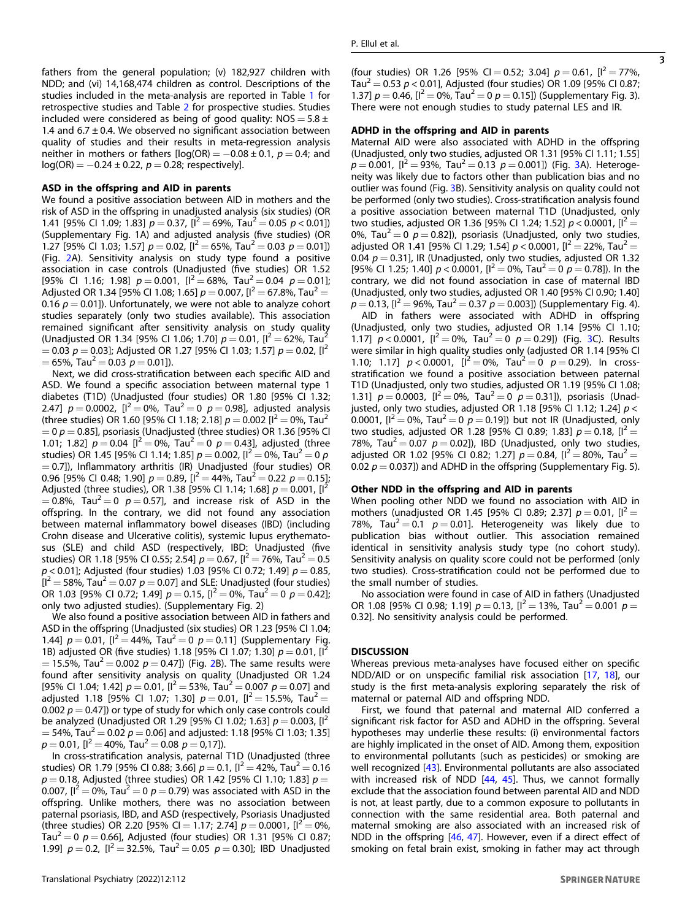3

fathers from the general population; (v) 182,927 children with NDD; and (vi) 14,168,474 children as control. Descriptions of the studies included in the meta-analysis are reported in Table 1 for retrospective studies and Table 2 for prospective studies. Studies included were considered as being of good quality:  $NOS = 5.8 \pm 1$ 1.4 and  $6.7 \pm 0.4$ . We observed no significant association between quality of studies and their results in meta-regression analysis neither in mothers or fathers  $[log(OR) = -0.08 \pm 0.1, p = 0.4;$  and  $log(OR) = -0.24 \pm 0.22$ ,  $p = 0.28$ ; respectively].

#### ASD in the offspring and AID in parents

We found a positive association between AID in mothers and the risk of ASD in the offspring in unadjusted analysis (six studies) (OR 1.41 [95% CI 1.09; 1.83]  $p = 0.37$ ,  $[1^2 = 69\%$ , Tau $^2 = 0.05$   $p < 0.01$ ]) (Supplementary Fig. 1A) and adjusted analysis (five studies) (OR 1.27 [95% CI 1.03; 1.57]  $p = 0.02$ ,  $[l^2 = 65\%$ , Tau<sup>2</sup> = 0.03  $p = 0.01$ ]) (Fig. 2A). Sensitivity analysis on study type found a positive association in case controls (Unadjusted (five studies) OR 1.52 [95% CI 1.16; 1.98]  $p = 0.001$ ,  $[1^2 = 68\%$ ,  $Tau^2 = 0.04$   $p = 0.01$ ]; Adjusted OR 1.34 [95% CI 1.08; 1.65]  $p = 0.007$ ,  $[1^2 = 67.8\%$ , Tau<sup>2</sup> = 0.16  $p = 0.01$ ]). Unfortunately, we were not able to analyze cohort studies separately (only two studies available). This association remained significant after sensitivity analysis on study quality (Unadjusted OR 1.34 [95% CI 1.06; 1.70]  $p = 0.01$ ,  $[1^2 = 62\%$ , Tau<sup>2</sup>  $= 0.03$   $p = 0.03$ ]; Adjusted OR 1.27 [95% CI 1.03; 1.57]  $p = 0.02$ , [1<sup>2</sup>]  $= 65\%$ , Tau<sup>2</sup>  $= 0.03$   $p = 0.01$ ]).

Next, we did cross-stratification between each specific AID and ASD. We found a specific association between maternal type 1 diabetes (T1D) (Unadjusted (four studies) OR 1.80 [95% CI 1.32; 2.47]  $p = 0.0002$ ,  $[1^2 = 0\%$ , Tau<sup>2</sup> = 0  $p = 0.98$ ], adjusted analysis (three studies) OR 1.60 [95% CI 1.18; 2.18]  $p = 0.002$  [ $l^2 = 0$ %, Tau<sup>2</sup>  $= 0$  p  $= 0.85$ ], psoriasis (Unadjusted (three studies) OR 1.36 [95% CI 1.01; 1.82]  $p = 0.04$  [ $l^2 = 0$ %, Tau $l^2 = 0$   $p = 0.43$ ], adjusted (three studies) OR 1.45 [95% CI 1.14; 1.85]  $p = 0.002$ , [I<sup>2</sup> = 0%, Tau<sup>2</sup> = 0 p  $= 0.7$ ]), Inflammatory arthritis (IR) Unadjusted (four studies) OR 0.96 [95% CI 0.48; 1.90]  $p = 0.89$ ,  $[1^2 = 44\%$ , Tau $^2 = 0.22$   $p = 0.15$ ]; Adjusted (three studies), OR 1.38 [95% CI 1.14; 1.68]  $p = 0.001$ ,  $[I^2]$  $= 0.8\%$ , Tau<sup>2</sup>  $= 0$   $p = 0.57$ ], and increase risk of ASD in the offspring. In the contrary, we did not found any association between maternal inflammatory bowel diseases (IBD) (including Crohn disease and Ulcerative colitis), systemic lupus erythematosus (SLE) and child ASD (respectively, IBD: Unadjusted (five studies) OR 1.18 [95% CI 0.55; 2.54]  $p = 0.67$ ,  $[l^2 = 76\%$ , Tau $^2 = 0.5$  $p$  < 0.01]; Adjusted (four studies) 1.03 [95% CI 0.72; 1.49]  $p = 0.85$ ,  $[I^2 = 58\%$ , Tau<sup>2</sup> = 0.07  $p = 0.07$ ] and SLE: Unadjusted (four studies) OR 1.03 [95% CI 0.72; 1.49]  $p = 0.15$ ,  $[I^2 = 0\%$ , Tau<sup>2</sup> = 0  $p = 0.42$ ]; only two adjusted studies). (Supplementary Fig. 2)

We also found a positive association between AID in fathers and ASD in the offspring (Unadjusted (six studies) OR 1.23 [95% CI 1.04; 1.44]  $p = 0.01$ ,  $[1^2 = 44\%, \text{ Tau}^2 = 0 \ p = 0.11]$  (Supplementary Fig. 1B) adjusted OR (five studies) 1.18 [95% CI 1.07; 1.30]  $p = 0.01$ ,  $[I^2]$  $= 15.5\%$ , Tau<sup>2</sup>  $= 0.002$   $p = 0.47$ ]) (Fig. 2B). The same results were found after sensitivity analysis on quality (Unadjusted OR 1.24 [95% CI 1.04; 1.42]  $p = 0.01$ ,  $[I^2 = 53\%$ , Tau<sup>2</sup> = 0.007  $p = 0.07$ ] and adjusted 1.18 [95% CI 1.07; 1.30]  $p = 0.01$ ,  $[I^2 = 15.5\%$ , Tau<sup>2</sup> = 0.002  $p = 0.47$ ]) or type of study for which only case controls could be analyzed (Unadjusted OR 1.29 [95% CI 1.02; 1.63]  $p = 0.003$ , [I<sup>2</sup>  $= 54\%$ , Tau<sup>2</sup>  $= 0.02$   $p = 0.06$ ] and adjusted: 1.18 [95% CI 1.03; 1.35]  $p = 0.01$ ,  $[I^2 = 40\%$ , Tau<sup>2</sup> = 0.08  $p = 0.17$ ]).

In cross-stratification analysis, paternal T1D (Unadjusted (three studies) OR 1.79 [95% CI 0.88; 3.66]  $p = 0.1$ , [ $l^2 = 42$ %, Tau $l^2 = 0.16$  $p = 0.18$ , Adjusted (three studies) OR 1.42 [95% CI 1.10; 1.83]  $p =$ 0.007,  $[1^2 = 0\%$ , Tau<sup>2</sup> = 0  $p = 0.79$ ) was associated with ASD in the offspring. Unlike mothers, there was no association between paternal psoriasis, IBD, and ASD (respectively, Psoriasis Unadjusted (three studies) OR 2.20 [95% CI = 1.17; 2.74]  $p = 0.0001$ ,  $[I^2 = 0\%$ , Tau<sup>2</sup> = 0  $p$  = 0.66], Adjusted (four studies) OR 1.31 [95% CI 0.87; 1.99]  $p = 0.2$ ,  $[1^2 = 32.5\%$ , Tau<sup>2</sup> = 0.05  $p = 0.30$ ]; IBD Unadjusted

#### ADHD in the offspring and AID in parents

Maternal AID were also associated with ADHD in the offspring (Unadjusted, only two studies, adjusted OR 1.31 [95% CI 1.11; 1.55]  $p = 0.001$ ,  $[I^2 = 93\%$ , Tau<sup>2</sup> = 0.13  $p = 0.001$ ) (Fig. 3A). Heterogeneity was likely due to factors other than publication bias and no outlier was found (Fig. 3B). Sensitivity analysis on quality could not be performed (only two studies). Cross-stratification analysis found a positive association between maternal T1D (Unadjusted, only two studies, adjusted OR 1.36 [95% CI 1.24; 1.52]  $p < 0.0001$ ,  $[1^2 =$ 0%, Tau<sup>2</sup> = 0  $p$  = 0.82]), psoriasis (Unadjusted, only two studies, adjusted OR 1.41 [95% CI 1.29; 1.54]  $p < 0.0001$ ,  $[I^2 = 22\%$ , Tau<sup>2</sup> = 0.04  $p = 0.31$ ], IR (Unadjusted, only two studies, adjusted OR 1.32 [95% CI 1.25; 1.40]  $p < 0.0001$ ,  $[I^2 = 0\%$ , Tau<sup>2</sup> = 0  $p = 0.78$ ]). In the contrary, we did not found association in case of maternal IBD (Unadjusted, only two studies, adjusted OR 1.40 [95% CI 0.90; 1.40]  $p = 0.13$ , [ $l^2 = 96\%$ , Tau $l^2 = 0.37$   $p = 0.003$ ]) (Supplementary Fig. 4).

AID in fathers were associated with ADHD in offspring (Unadjusted, only two studies, adjusted OR 1.14 [95% CI 1.10; 1.17]  $p < 0.0001$ ,  $[1^2 = 0\%$ , Tau<sup>2</sup> = 0  $p = 0.29$ ]) (Fig. 3C). Results were similar in high quality studies only (adjusted OR 1.14 [95% CI 1.10; 1.17]  $p < 0.0001$ ,  $[i^2 = 0\%$ , Tau<sup>2</sup> = 0  $p = 0.29$ ). In crossstratification we found a positive association between paternal T1D (Unadjusted, only two studies, adjusted OR 1.19 [95% CI 1.08; 1.31]  $p = 0.0003$ ,  $[I^2 = 0\%$ , Tau<sup>2</sup> = 0  $p = 0.31$ ]), psoriasis (Unadjusted, only two studies, adjusted OR 1.18 [95% CI 1.12; 1.24]  $p <$ 0.0001,  $[1^2 = 0\%$ , Tau<sup>2</sup> = 0  $p = 0.19$ ) but not IR (Unadjusted, only two studies, adjusted OR 1.28 [95% CI 0.89; 1.83]  $p = 0.18$ ,  $[1^2 =$ 78%, Tau<sup>2</sup> = 0.07  $p = 0.02$ ]), IBD (Unadjusted, only two studies, adjusted OR 1.02 [95% CI 0.82; 1.27]  $p = 0.84$ ,  $[l^2 = 80\%$ , Tau<sup>2</sup> = 0.02  $p = 0.037$ ]) and ADHD in the offspring (Supplementary Fig. 5).

#### Other NDD in the offspring and AID in parents

When pooling other NDD we found no association with AID in mothers (unadjusted OR 1.45 [95% CI 0.89; 2.37]  $p = 0.01$ ,  $[I^2 =$ 78%, Tau<sup>2</sup> = 0.1  $p = 0.01$ . Heterogeneity was likely due to publication bias without outlier. This association remained identical in sensitivity analysis study type (no cohort study). Sensitivity analysis on quality score could not be performed (only two studies). Cross-stratification could not be performed due to the small number of studies.

No association were found in case of AID in fathers (Unadjusted OR 1.08 [95% CI 0.98; 1.19]  $p = 0.13$ ,  $[1^2 = 13\%$ , Tau $^2 = 0.001$   $p =$ 0.32]. No sensitivity analysis could be performed.

#### **DISCUSSION**

Whereas previous meta-analyses have focused either on specific NDD/AID or on unspecific familial risk association [17, 18], our study is the first meta-analysis exploring separately the risk of maternal or paternal AID and offspring NDD.

First, we found that paternal and maternal AID conferred a significant risk factor for ASD and ADHD in the offspring. Several hypotheses may underlie these results: (i) environmental factors are highly implicated in the onset of AID. Among them, exposition to environmental pollutants (such as pesticides) or smoking are well recognized [43]. Environmental pollutants are also associated with increased risk of NDD [44, 45]. Thus, we cannot formally exclude that the association found between parental AID and NDD is not, at least partly, due to a common exposure to pollutants in connection with the same residential area. Both paternal and maternal smoking are also associated with an increased risk of NDD in the offspring [46, 47]. However, even if a direct effect of smoking on fetal brain exist, smoking in father may act through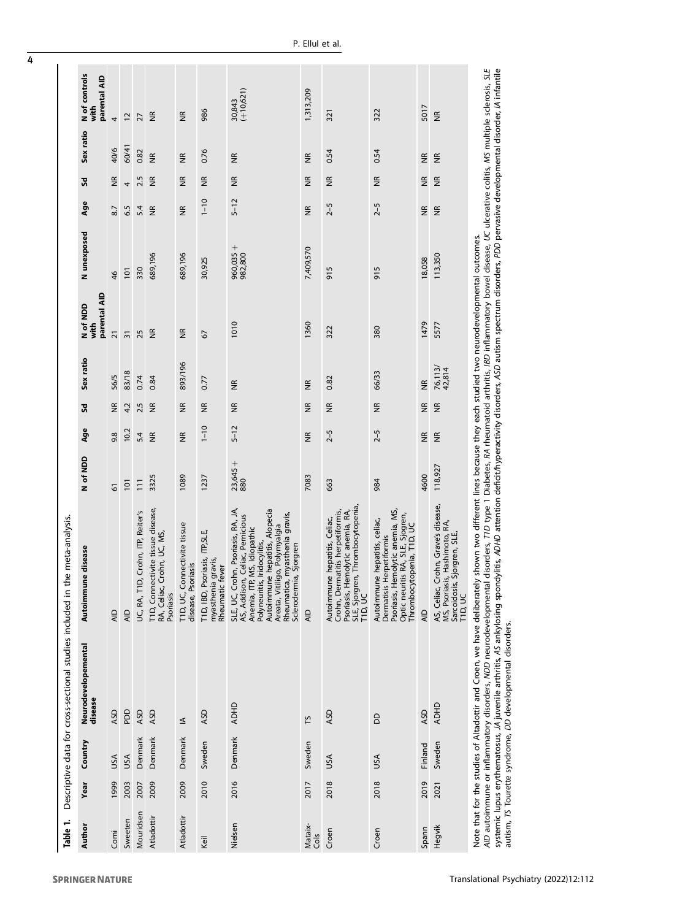|                                                          | N of controls<br>parental AID    |                         |                 |                                       |                                                                                     |                                                    |                                                                            | $(+10,621)$<br>30,843                                                                                                                                                                                                                                                   | 1,313,209               |                                                                                                                                                         |                                                                                                                                                                |                         |                                                                                                                   |                                                                                                                                                                                                                                                                                                                                                                            |
|----------------------------------------------------------|----------------------------------|-------------------------|-----------------|---------------------------------------|-------------------------------------------------------------------------------------|----------------------------------------------------|----------------------------------------------------------------------------|-------------------------------------------------------------------------------------------------------------------------------------------------------------------------------------------------------------------------------------------------------------------------|-------------------------|---------------------------------------------------------------------------------------------------------------------------------------------------------|----------------------------------------------------------------------------------------------------------------------------------------------------------------|-------------------------|-------------------------------------------------------------------------------------------------------------------|----------------------------------------------------------------------------------------------------------------------------------------------------------------------------------------------------------------------------------------------------------------------------------------------------------------------------------------------------------------------------|
|                                                          | with                             | 4                       | $\overline{c}$  | 27                                    | $\frac{\alpha}{2}$                                                                  | $\frac{\alpha}{2}$                                 | 986                                                                        |                                                                                                                                                                                                                                                                         |                         | 321                                                                                                                                                     | 322                                                                                                                                                            | 5017                    | $\widetilde{\Xi}$                                                                                                 |                                                                                                                                                                                                                                                                                                                                                                            |
|                                                          | Sex ratio                        | 40/6                    | 60/41           | 0.82                                  | $\frac{\alpha}{\beta}$                                                              | $\frac{\alpha}{\alpha}$                            | 0.76                                                                       | $\widetilde{\Xi}$                                                                                                                                                                                                                                                       | $\frac{\alpha}{\alpha}$ | 0.54                                                                                                                                                    | 0.54                                                                                                                                                           | $\widetilde{\Xi}$       | $\frac{\alpha}{\alpha}$                                                                                           |                                                                                                                                                                                                                                                                                                                                                                            |
|                                                          | Sd                               | $\frac{\alpha}{\alpha}$ | $\overline{a}$  | 2.5                                   | $\frac{R}{R}$                                                                       | $\frac{\alpha}{\alpha}$                            | $\frac{\alpha}{\alpha}$                                                    | $\widetilde{\Xi}$                                                                                                                                                                                                                                                       | $\widetilde{\Xi}$       | $\frac{\alpha}{\beta}$                                                                                                                                  | $\frac{\alpha}{\alpha}$                                                                                                                                        | $\widetilde{\Xi}$       | $\frac{\alpha}{\alpha}$                                                                                           |                                                                                                                                                                                                                                                                                                                                                                            |
|                                                          | Age                              | 8.7                     | 6.5             | 5.4                                   | $\frac{a}{2}$                                                                       | $\frac{\alpha}{2}$                                 | $1 - 10$                                                                   | $5 - 12$                                                                                                                                                                                                                                                                | $\frac{\alpha}{2}$      | $2 - 5$                                                                                                                                                 | $2 - 5$                                                                                                                                                        | $\widetilde{\Xi}$       | $\frac{\alpha}{2}$                                                                                                |                                                                                                                                                                                                                                                                                                                                                                            |
|                                                          | N unexposed                      | 46                      | 101             | 330                                   | 689,196                                                                             | 689,196                                            | 30,925                                                                     | $960,035 +$<br>982,800                                                                                                                                                                                                                                                  | 7,409,570               | 915                                                                                                                                                     | 915                                                                                                                                                            | 18,058                  | 113,350                                                                                                           |                                                                                                                                                                                                                                                                                                                                                                            |
|                                                          | parental AID<br>N of NDD<br>with | $\overline{21}$         | $\overline{31}$ | 25                                    | $\frac{\alpha}{\alpha}$                                                             | $\frac{\alpha}{\alpha}$                            | 67                                                                         | 1010                                                                                                                                                                                                                                                                    | 1360                    | 322                                                                                                                                                     | 380                                                                                                                                                            | 1479                    | 5577                                                                                                              |                                                                                                                                                                                                                                                                                                                                                                            |
|                                                          | Sex ratio                        | 56/5                    | 83/18           | 0.74                                  | 0.84                                                                                | 893/196                                            | 0.77                                                                       | $\widetilde{\Xi}$                                                                                                                                                                                                                                                       | $\frac{\alpha}{2}$      | 0.82                                                                                                                                                    | 66/33                                                                                                                                                          | $\frac{\alpha}{2}$      | 76,113/<br>42,814                                                                                                 |                                                                                                                                                                                                                                                                                                                                                                            |
|                                                          | š                                | $\widetilde{\Xi}$       | 4.2             | 2.5                                   | $\frac{a}{2}$                                                                       | $\widetilde{\Xi}$                                  | $\widetilde{\Xi}$                                                          | $\widetilde{\Xi}$                                                                                                                                                                                                                                                       | $\widetilde{\Xi}$       | $\widetilde{\Xi}$                                                                                                                                       | $\frac{\alpha}{2}$                                                                                                                                             | $\frac{\alpha}{2}$      | $\frac{\alpha}{2}$                                                                                                |                                                                                                                                                                                                                                                                                                                                                                            |
|                                                          | Age                              | 9.8                     | 10.2            | 5.4                                   | $\frac{R}{R}$                                                                       | $\frac{\alpha}{2}$                                 | $1 - 10$                                                                   | $5 - 12$                                                                                                                                                                                                                                                                | $\frac{\alpha}{\alpha}$ | $2 - 5$                                                                                                                                                 | $2 - 5$                                                                                                                                                        | $\frac{\alpha}{\alpha}$ | $\frac{\alpha}{\alpha}$                                                                                           |                                                                                                                                                                                                                                                                                                                                                                            |
|                                                          | N of NDD                         | 61                      | 101             | $\overline{11}$                       | 3325                                                                                | 1089                                               | 1237                                                                       | $23,645+$<br>880                                                                                                                                                                                                                                                        | 7083                    | 663                                                                                                                                                     | 984                                                                                                                                                            | 4600                    | 118,927                                                                                                           |                                                                                                                                                                                                                                                                                                                                                                            |
| the meta-analysis.                                       | une disease<br>Autoimm           | AID                     | $\overline{AD}$ | D, Crohn, ITP, Reiter's<br>UC, RA, T1 | ectivite tissue disease,<br>Crohn, UC, MS,<br>T1D, Conn<br>RA, Celiac,<br>Psoriasis | T1D, UC, Connectivite tissue<br>disease, Psoriasis | Psoriasis, ITP, SLE,<br>myasthenia gravis,<br>Rheumatic fever<br>TID, IBD, | SLE, UC, Crohn, Psoriasis, RA, JA,<br>Autoimmune hepatitis, Alopecia<br>Rheumatica, myasthenia gravis,<br>AS, Addison, Celiac, Pernicious<br>Areata, Vitiligo, Polymyalgia<br>IP, MS, Idiopathic<br>Polyneuritis, Iridocylitis,<br>Sclerodermia, Sjorgren<br>Anemia, IT | AID                     | SLE, Sjorgren, Thrombocytopenia,<br>T1D, UC<br>Crohn, Dermatitis herpetiformis,<br>Hemolytic anemia, RA,<br>Autoimmune hepatitis, Celiac,<br>Psoriasis, | Psoriasis, Hemolytic anemia, MS,<br>Optic neuritis RA, SLE, Sjogren,<br>Autoimmune hepatitis, celiac,<br>Thrombocytopenia, T1D, UC<br>Dermatisis Herpetiformis | AID                     | Crohn, Grave's disease,<br>MS, Psoriasis, Hashimoto, RA,<br>Sarcoidosis, Sjorgren, SLE,<br>AS, Celiac,<br>TID, UC | AID autoimmune or inflammatory disorders, NDD neurodevelopmental disorders, TD type 1 Diabetes, AA rheumatoid arthritis, IBD inflammatory bowel disease, UC ulcerative colitis, MS multiple sclerosis, SLE<br>Note that for the studies of Altadottir and Croen, we have deliberately shown two different lines because they each studied two neurodevelopmental outcomes. |
| Descriptive data for cross-sectional studies included in | Neurodevelopemental<br>disease   | ASD                     | <b>DO</b>       | ASD                                   | ASD                                                                                 | $\leq$                                             | ASD                                                                        | <b>ADHD</b>                                                                                                                                                                                                                                                             | Σh                      | ASD                                                                                                                                                     | <b>BD</b>                                                                                                                                                      | ASD                     | <b>ADHD</b>                                                                                                       |                                                                                                                                                                                                                                                                                                                                                                            |
|                                                          | Country                          |                         |                 | Denmark                               | Denmark                                                                             | Denmark                                            | Sweden                                                                     | Denmark                                                                                                                                                                                                                                                                 | Sweden                  |                                                                                                                                                         |                                                                                                                                                                | Finland                 | Sweden                                                                                                            |                                                                                                                                                                                                                                                                                                                                                                            |
|                                                          | Year                             | USA<br>1999             | USA<br>2003     |                                       | 2009                                                                                | 2009                                               | 2010                                                                       | 2016                                                                                                                                                                                                                                                                    | 2017                    | USA<br>2018                                                                                                                                             | USA<br>2018                                                                                                                                                    | 2019                    |                                                                                                                   |                                                                                                                                                                                                                                                                                                                                                                            |
| Table 1.                                                 | Author                           | Comi                    | Sweeten         | 2007<br>Mouridsen                     | Atladottir                                                                          | Atladottir                                         | Keil                                                                       | Nielsen                                                                                                                                                                                                                                                                 | Mataix-<br>Cols         | Croen                                                                                                                                                   | Croen                                                                                                                                                          | Spann                   | 2021<br>Hegvik                                                                                                    |                                                                                                                                                                                                                                                                                                                                                                            |

systemic lupus erythematosus, JA juvenile arthritis, AS ankylosing spondylitis, ADP arterity disorders, ASD autism spectrum disorders, PDD pervasive developmental disorder, IA infantile<br>autism, TS Tourette syndrome, DD dev systemic lupus erythematosus, JA juvenile arthritis, AS ankylosing spondylitis, ADHD attention deficit/hyperactivity disorders, ASD autism disorders, PDD pervasive developmental disorder, IA infantile autism, TS Tourette syndrome, DD developmental disorders.

**SPRINGER NATURE**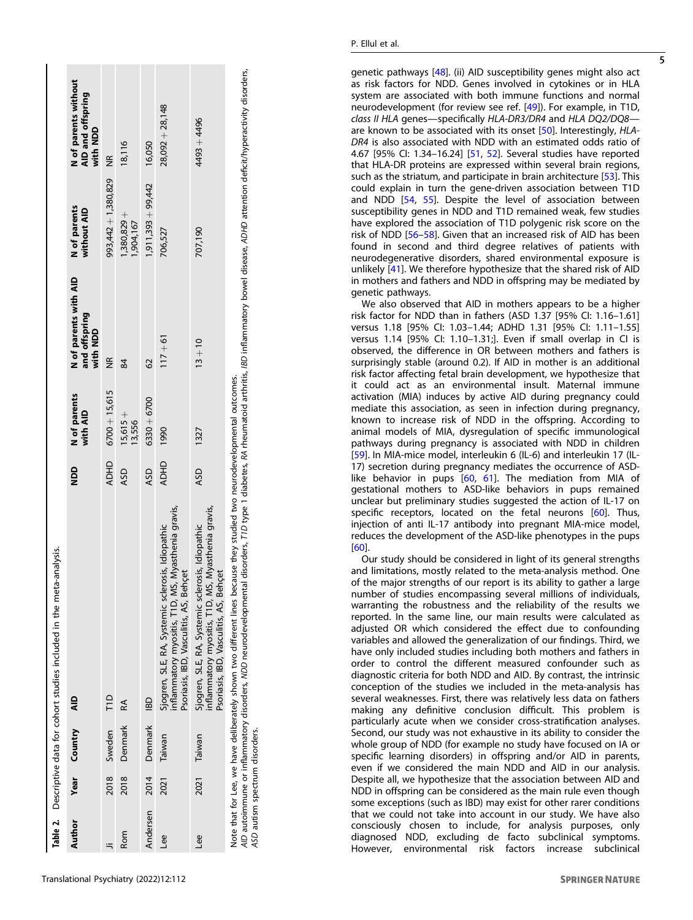|          |      |              | Table 2. Descriptive data for cohort studies included in the meta-analysis.                                                                                                                                                                                                                                                         |             |                          |                                                    |                             |                                                       |
|----------|------|--------------|-------------------------------------------------------------------------------------------------------------------------------------------------------------------------------------------------------------------------------------------------------------------------------------------------------------------------------------|-------------|--------------------------|----------------------------------------------------|-----------------------------|-------------------------------------------------------|
| Author   |      | Year Country | $\frac{1}{2}$                                                                                                                                                                                                                                                                                                                       | QON         | N of parents<br>with AID | N of parents with AID<br>and offspring<br>with NDD | N of parents<br>without AID | N of parents without<br>AID and offspring<br>with NDD |
|          | 2018 | Sweden       | TID                                                                                                                                                                                                                                                                                                                                 | <b>ADHD</b> | $6700 + 15,615$          | $\widetilde{\Xi}$                                  | 993,442 + 1,380,829         | $\widetilde{\Xi}$                                     |
| Rom      | 2018 | Denmark      | RA                                                                                                                                                                                                                                                                                                                                  | ASD         | $15,615+$<br>13,556      | 84                                                 | $1,380,829 +$<br>1,904,167  | 18,116                                                |
| Andersen | 2014 | Denmark      | <b>IBD</b>                                                                                                                                                                                                                                                                                                                          | ASD         | $6330 + 6700$            | $\overline{62}$                                    | $1,911,393 + 99,442$        | 16,050                                                |
| Lee      | 2021 | Taiwan       | nflammatory myositis, T1D, MS, Myasthenia gravis,<br>Sjogren, SLE, RA, Systemic sclerosis, Idiopathic<br>Psoriasis, IBD, Vasculitis, AS, Behçet                                                                                                                                                                                     | <b>ADHD</b> | 1990                     | $117 + 61$                                         | 706,527                     | $28,092 + 28,148$                                     |
| Lee      | 2021 | Taiwan       | nflammatory myositis, T1D, MS, Myasthenia gravis,<br>Sjogren, SLE, RA, Systemic sclerosis, Idiopathic<br>Psoriasis, IBD, Vasculitis, AS, Behçet                                                                                                                                                                                     | ASD         | 1327                     | $13 + 10$                                          | 707,190                     | 4493 + 4496                                           |
|          |      |              | AID autoimmune or inflammatory disorders, NDD neurodevelopmental disorders, TD type 1 diabetes, AA rheumatoid arthritis, IBD inflammatory bowel disease, ADHD attention deficit/hyperactivity disorders,<br>Note that for Lee, we have deliberately shown two different lines because they studied two neurodevelopmental outcomes. |             |                          |                                                    |                             |                                                       |

autism spectrum disorders. ASD autism spectrum disorders. មិ ក្នុ<br>ក្នុង genetic pathways [48]. (ii) AID susceptibility genes might also act as risk factors for NDD. Genes involved in cytokines or in HLA system are associated with both immune functions and normal neurodevelopment (for review see ref. [49]). For example, in T1D, class II HLA genes-specifically HLA-DR3/DR4 and HLA DQ2/DQ8are known to be associated with its onset [50]. Interestingly, HLA-DR4 is also associated with NDD with an estimated odds ratio of 4.67 [95% CI: 1.34 –16.24] [51 , 52]. Several studies have reported that HLA-DR proteins are expressed within several brain regions, such as the striatum, and participate in brain architecture [53]. This could explain in turn the gene-driven association between T1D and NDD [54 , 55]. Despite the level of association between susceptibility genes in NDD and T1D remained weak, few studies have explored the association of T1D polygenic risk score on the risk of NDD [56-58]. Given that an increased risk of AID has been found in second and third degree relatives of patients with neurodegenerative disorders, shared environmental exposure is unlikely [41]. We therefore hypothesize that the shared risk of AID in mothers and fathers and NDD in offspring may be mediated by genetic pathways.

We also observed that AID in mothers appears to be a higher risk factor for NDD than in fathers (ASD 1.37 [95% CI: 1.16 –1.61] versus 1.18 [95% CI: 1.03 –1.44; ADHD 1.31 [95% CI: 1.11 –1.55] versus 1.14 [95% CI: 1.10 –1.31;]. Even if small overlap in CI is observed, the difference in OR between mothers and fathers is surprisingly stable (around 0.2). If AID in mother is an additional risk factor affecting fetal brain development, we hypothesize that it could act as an environmental insult. Maternal immune activation (MIA) induces by active AID during pregnancy could mediate this association, as seen in infection during pregnancy, known to increase risk of NDD in the offspring. According to animal models of MIA, dysregulation of speci fic immunological pathways during pregnancy is associated with NDD in children [59]. In MIA-mice model, interleukin 6 (IL-6) and interleukin 17 (IL-17) secretion during pregnancy mediates the occurrence of ASDlike behavior in pups [60, 61]. The mediation from MIA of gestational mothers to ASD-like behaviors in pups remained unclear but preliminary studies suggested the action of IL-17 on specific receptors, located on the fetal neurons [60]. Thus, injection of anti IL-17 antibody into pregnant MIA-mice model, reduces the development of the ASD-like phenotypes in the pups [60].

Our study should be considered in light of its general strengths and limitations, mostly related to the meta-analysis method. One of the major strengths of our report is its ability to gather a large number of studies encompassing several millions of individuals, warranting the robustness and the reliability of the results we reported. In the same line, our main results were calculated as adjusted OR which considered the effect due to confounding variables and allowed the generalization of our findings. Third, we have only included studies including both mothers and fathers in order to control the different measured confounder such as diagnostic criteria for both NDD and AID. By contrast, the intrinsic conception of the studies we included in the meta-analysis has several weaknesses. First, there was relatively less data on fathers making any de finitive conclusion difficult. This problem is particularly acute when we consider cross-stratification analyses. Second, our study was not exhaustive in its ability to consider the whole group of NDD (for example no study have focused on IA or speci fic learning disorders) in offspring and/or AID in parents, even if we considered the main NDD and AID in our analysis. Despite all, we hypothesize that the association between AID and NDD in offspring can be considered as the main rule even though some exceptions (such as IBD) may exist for other rarer conditions that we could not take into account in our study. We have also consciously chosen to include, for analysis purposes, only diagnosed NDD, excluding de facto subclinical symptoms. However, environmental risk factors increase subclinical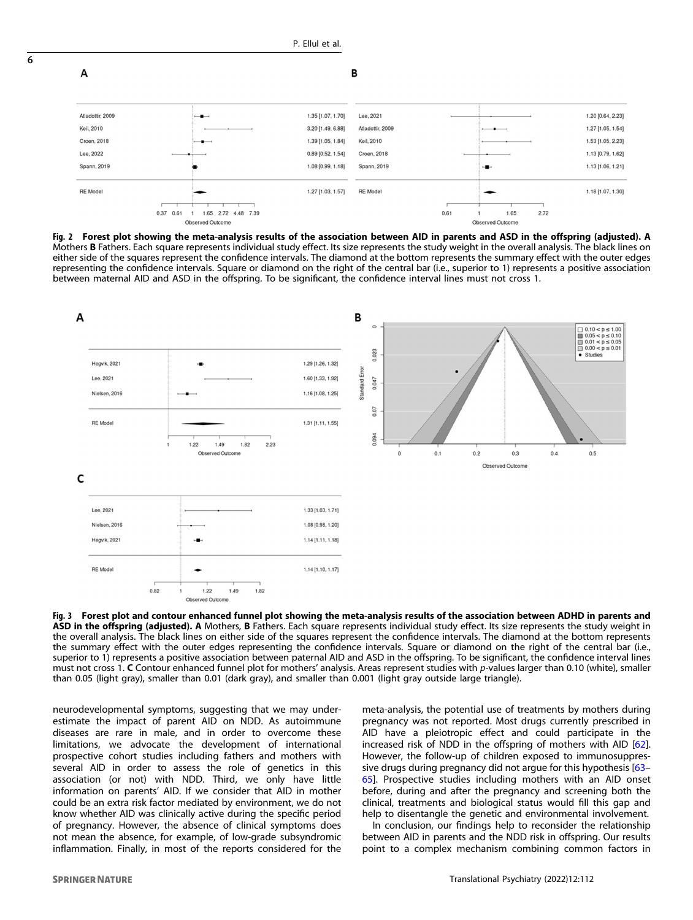

P. Ellul et al.

Fig. 2 Forest plot showing the meta-analysis results of the association between AID in parents and ASD in the offspring (adjusted). A Mothers B Fathers. Each square represents individual study effect. Its size represents the study weight in the overall analysis. The black lines on either side of the squares represent the confidence intervals. The diamond at the bottom represents the summary effect with the outer edges representing the confidence intervals. Square or diamond on the right of the central bar (i.e., superior to 1) represents a positive association between maternal AID and ASD in the offspring. To be significant, the confidence interval lines must not cross 1.



Fig. 3 Forest plot and contour enhanced funnel plot showing the meta-analysis results of the association between ADHD in parents and ASD in the offspring (adjusted). A Mothers, B Fathers. Each square represents individual study effect. Its size represents the study weight in the overall analysis. The black lines on either side of the squares represent the confidence intervals. The diamond at the bottom represents the summary effect with the outer edges representing the confidence intervals. Square or diamond on the right of the central bar (i.e., superior to 1) represents a positive association between paternal AID and ASD in the offspring. To be significant, the confidence interval lines must not cross 1. C Contour enhanced funnel plot for mothers' analysis. Areas represent studies with p-values larger than 0.10 (white), smaller than 0.05 (light gray), smaller than 0.01 (dark gray), and smaller than 0.001 (light gray outside large triangle).

neurodevelopmental symptoms, suggesting that we may underestimate the impact of parent AID on NDD. As autoimmune diseases are rare in male, and in order to overcome these limitations, we advocate the development of international prospective cohort studies including fathers and mothers with several AID in order to assess the role of genetics in this association (or not) with NDD. Third, we only have little information on parents' AID. If we consider that AID in mother could be an extra risk factor mediated by environment, we do not know whether AID was clinically active during the specific period of pregnancy. However, the absence of clinical symptoms does not mean the absence, for example, of low-grade subsyndromic inflammation. Finally, in most of the reports considered for the meta-analysis, the potential use of treatments by mothers during pregnancy was not reported. Most drugs currently prescribed in AID have a pleiotropic effect and could participate in the increased risk of NDD in the offspring of mothers with AID [62]. However, the follow-up of children exposed to immunosuppressive drugs during pregnancy did not argue for this hypothesis [63– 65]. Prospective studies including mothers with an AID onset before, during and after the pregnancy and screening both the clinical, treatments and biological status would fill this gap and help to disentangle the genetic and environmental involvement.

In conclusion, our findings help to reconsider the relationship between AID in parents and the NDD risk in offspring. Our results point to a complex mechanism combining common factors in

6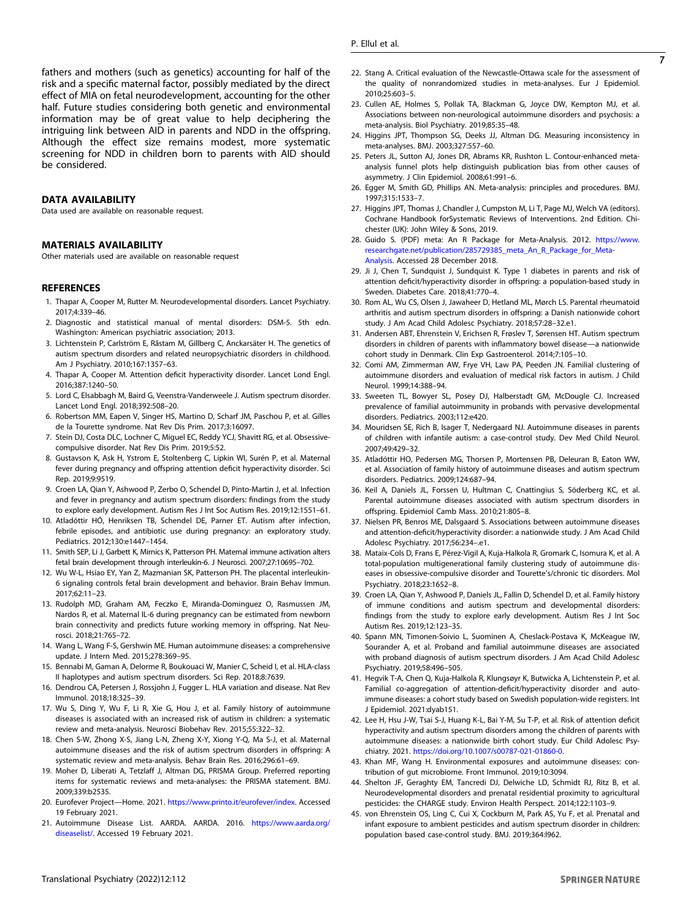fathers and mothers (such as genetics) accounting for half of the risk and a specific maternal factor, possibly mediated by the direct effect of MIA on fetal neurodevelopment, accounting for the other half. Future studies considering both genetic and environmental information may be of great value to help deciphering the intriguing link between AID in parents and NDD in the offspring. Although the effect size remains modest, more systematic screening for NDD in children born to parents with AID should be considered.

#### DATA AVAILABILITY

Data used are available on reasonable request.

#### MATERIALS AVAILABILITY

Other materials used are available on reasonable request

#### **REFERENCES**

- 1. Thapar A, Cooper M, Rutter M. Neurodevelopmental disorders. Lancet Psychiatry. 2017;4:339–46.
- 2. Diagnostic and statistical manual of mental disorders: DSM-5. 5th edn. Washington: American psychiatric association; 2013.
- 3. Lichtenstein P, Carlström E, Råstam M, Gillberg C, Anckarsäter H. The genetics of autism spectrum disorders and related neuropsychiatric disorders in childhood. Am J Psychiatry. 2010;167:1357–63.
- 4. Thapar A, Cooper M. Attention deficit hyperactivity disorder. Lancet Lond Engl. 2016;387:1240–50.
- 5. Lord C, Elsabbagh M, Baird G, Veenstra-Vanderweele J. Autism spectrum disorder. Lancet Lond Engl. 2018;392:508–20.
- 6. Robertson MM, Eapen V, Singer HS, Martino D, Scharf JM, Paschou P, et al. Gilles de la Tourette syndrome. Nat Rev Dis Prim. 2017;3:16097.
- 7. Stein DJ, Costa DLC, Lochner C, Miguel EC, Reddy YCJ, Shavitt RG, et al. Obsessivecompulsive disorder. Nat Rev Dis Prim. 2019;5:52.
- 8. Gustavson K, Ask H, Ystrom E, Stoltenberg C, Lipkin WI, Surén P, et al. Maternal fever during pregnancy and offspring attention deficit hyperactivity disorder. Sci Rep. 2019;9:9519.
- 9. Croen LA, Qian Y, Ashwood P, Zerbo O, Schendel D, Pinto-Martin J, et al. Infection and fever in pregnancy and autism spectrum disorders: findings from the study to explore early development. Autism Res J Int Soc Autism Res. 2019;12:1551–61.
- 10. Atladóttir HÓ, Henriksen TB, Schendel DE, Parner ET. Autism after infection, febrile episodes, and antibiotic use during pregnancy: an exploratory study. Pediatrics. 2012;130:e1447–1454.
- 11. Smith SEP, Li J, Garbett K, Mirnics K, Patterson PH. Maternal immune activation alters fetal brain development through interleukin-6. J Neurosci. 2007;27:10695–702.
- 12. Wu W-L, Hsiao EY, Yan Z, Mazmanian SK, Patterson PH. The placental interleukin-6 signaling controls fetal brain development and behavior. Brain Behav Immun. 2017;62:11–23.
- 13. Rudolph MD, Graham AM, Feczko E, Miranda-Dominguez O, Rasmussen JM, Nardos R, et al. Maternal IL-6 during pregnancy can be estimated from newborn brain connectivity and predicts future working memory in offspring. Nat Neurosci. 2018;21:765–72.
- 14. Wang L, Wang F-S, Gershwin ME. Human autoimmune diseases: a comprehensive update. J Intern Med. 2015;278:369–95.
- 15. Bennabi M, Gaman A, Delorme R, Boukouaci W, Manier C, Scheid I, et al. HLA-class II haplotypes and autism spectrum disorders. Sci Rep. 2018;8:7639.
- 16. Dendrou CA, Petersen J, Rossjohn J, Fugger L. HLA variation and disease. Nat Rev Immunol. 2018;18:325–39.
- 17. Wu S, Ding Y, Wu F, Li R, Xie G, Hou J, et al. Family history of autoimmune diseases is associated with an increased risk of autism in children: a systematic review and meta-analysis. Neurosci Biobehav Rev. 2015;55:322–32.
- 18. Chen S-W, Zhong X-S, Jiang L-N, Zheng X-Y, Xiong Y-Q, Ma S-J, et al. Maternal autoimmune diseases and the risk of autism spectrum disorders in offspring: A systematic review and meta-analysis. Behav Brain Res. 2016;296:61–69.
- 19. Moher D, Liberati A, Tetzlaff J, Altman DG, PRISMA Group. Preferred reporting items for systematic reviews and meta-analyses: the PRISMA statement. BMJ. 2009;339:b2535.
- 20. Eurofever Project-Home. 2021. <https://www.printo.it/eurofever/index>. Accessed 19 February 2021.
- 21. Autoimmune Disease List. AARDA. AARDA. 2016. [https://www.aarda.org/](https://www.aarda.org/diseaselist/) [diseaselist/.](https://www.aarda.org/diseaselist/) Accessed 19 February 2021.
- 22. Stang A. Critical evaluation of the Newcastle-Ottawa scale for the assessment of the quality of nonrandomized studies in meta-analyses. Eur J Epidemiol. 2010;25:603–5.
- 23. Cullen AE, Holmes S, Pollak TA, Blackman G, Joyce DW, Kempton MJ, et al. Associations between non-neurological autoimmune disorders and psychosis: a meta-analysis. Biol Psychiatry. 2019;85:35–48.
- 24. Higgins JPT, Thompson SG, Deeks JJ, Altman DG. Measuring inconsistency in meta-analyses. BMJ. 2003;327:557–60.
- 25. Peters JL, Sutton AJ, Jones DR, Abrams KR, Rushton L. Contour-enhanced metaanalysis funnel plots help distinguish publication bias from other causes of asymmetry. J Clin Epidemiol. 2008;61:991–6.
- 26. Egger M, Smith GD, Phillips AN. Meta-analysis: principles and procedures. BMJ. 1997;315:1533–7.
- 27. Higgins JPT, Thomas J, Chandler J, Cumpston M, Li T, Page MJ, Welch VA (editors). Cochrane Handbook forSystematic Reviews of Interventions. 2nd Edition. Chichester (UK): John Wiley & Sons, 2019.
- 28. Guido S. (PDF) meta: An R Package for Meta-Analysis. 2012. [https://www.](https://www.researchgate.net/publication/285729385_meta_An_R_Package_for_Meta-Analysis) [researchgate.net/publication/285729385\\_meta\\_An\\_R\\_Package\\_for\\_Meta-](https://www.researchgate.net/publication/285729385_meta_An_R_Package_for_Meta-Analysis)[Analysis](https://www.researchgate.net/publication/285729385_meta_An_R_Package_for_Meta-Analysis). Accessed 28 December 2018.
- 29. Ji J, Chen T, Sundquist J, Sundquist K. Type 1 diabetes in parents and risk of attention deficit/hyperactivity disorder in offspring: a population-based study in Sweden. Diabetes Care. 2018;41:770–4.
- 30. Rom AL, Wu CS, Olsen J, Jawaheer D, Hetland ML, Mørch LS. Parental rheumatoid arthritis and autism spectrum disorders in offspring: a Danish nationwide cohort study. J Am Acad Child Adolesc Psychiatry. 2018;57:28–32.e1.
- 31. Andersen ABT, Ehrenstein V, Erichsen R, Frøslev T, Sørensen HT. Autism spectrum disorders in children of parents with inflammatory bowel disease—a nationwide cohort study in Denmark. Clin Exp Gastroenterol. 2014;7:105–10.
- 32. Comi AM, Zimmerman AW, Frye VH, Law PA, Peeden JN. Familial clustering of autoimmune disorders and evaluation of medical risk factors in autism. J Child Neurol. 1999;14:388–94.
- 33. Sweeten TL, Bowyer SL, Posey DJ, Halberstadt GM, McDougle CJ. Increased prevalence of familial autoimmunity in probands with pervasive developmental disorders. Pediatrics. 2003;112:e420.
- 34. Mouridsen SE, Rich B, Isager T, Nedergaard NJ. Autoimmune diseases in parents of children with infantile autism: a case-control study. Dev Med Child Neurol. 2007;49:429–32.
- 35. Atladóttir HO, Pedersen MG, Thorsen P, Mortensen PB, Deleuran B, Eaton WW, et al. Association of family history of autoimmune diseases and autism spectrum disorders. Pediatrics. 2009;124:687–94.
- 36. Keil A, Daniels JL, Forssen U, Hultman C, Cnattingius S, Söderberg KC, et al. Parental autoimmune diseases associated with autism spectrum disorders in offspring. Epidemiol Camb Mass. 2010;21:805–8.
- 37. Nielsen PR, Benros ME, Dalsgaard S. Associations between autoimmune diseases and attention-deficit/hyperactivity disorder: a nationwide study. J Am Acad Child Adolesc Psychiatry. 2017;56:234–.e1.
- 38. Mataix-Cols D, Frans E, Pérez-Vigil A, Kuja-Halkola R, Gromark C, Isomura K, et al. A total-population multigenerational family clustering study of autoimmune diseases in obsessive-compulsive disorder and Tourette's/chronic tic disorders. Mol Psychiatry. 2018;23:1652–8.
- 39. Croen LA, Qian Y, Ashwood P, Daniels JL, Fallin D, Schendel D, et al. Family history of immune conditions and autism spectrum and developmental disorders: findings from the study to explore early development. Autism Res J Int Soc Autism Res. 2019;12:123–35.
- 40. Spann MN, Timonen-Soivio L, Suominen A, Cheslack-Postava K, McKeague IW, Sourander A, et al. Proband and familial autoimmune diseases are associated with proband diagnosis of autism spectrum disorders. J Am Acad Child Adolesc Psychiatry. 2019;58:496–505.
- 41. Hegvik T-A, Chen Q, Kuja-Halkola R, Klungsøyr K, Butwicka A, Lichtenstein P, et al. Familial co-aggregation of attention-deficit/hyperactivity disorder and autoimmune diseases: a cohort study based on Swedish population-wide registers. Int J Epidemiol. 2021:dyab151.
- 42. Lee H, Hsu J-W, Tsai S-J, Huang K-L, Bai Y-M, Su T-P, et al. Risk of attention deficit hyperactivity and autism spectrum disorders among the children of parents with autoimmune diseases: a nationwide birth cohort study. Eur Child Adolesc Psychiatry. 2021. <https://doi.org/10.1007/s00787-021-01860-0>.
- 43. Khan MF, Wang H. Environmental exposures and autoimmune diseases: contribution of gut microbiome. Front Immunol. 2019;10:3094.
- 44. Shelton JF, Geraghty EM, Tancredi DJ, Delwiche LD, Schmidt RJ, Ritz B, et al. Neurodevelopmental disorders and prenatal residential proximity to agricultural pesticides: the CHARGE study. Environ Health Perspect. 2014;122:1103–9.
- 45. von Ehrenstein OS, Ling C, Cui X, Cockburn M, Park AS, Yu F, et al. Prenatal and infant exposure to ambient pesticides and autism spectrum disorder in children: population based case-control study. BMJ. 2019;364:l962.